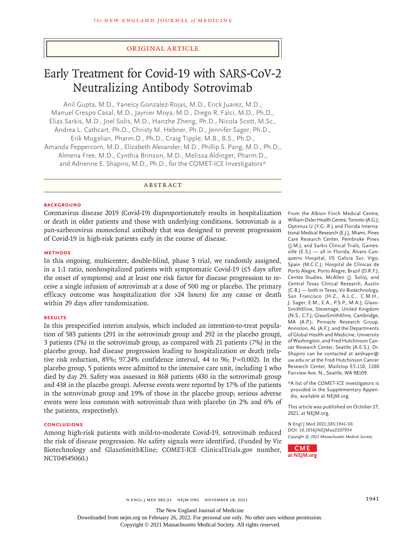# Original Article

# Early Treatment for Covid-19 with SARS-CoV-2 Neutralizing Antibody Sotrovimab

Anil Gupta, M.D., Yaneicy Gonzalez-Rojas, M.D., Erick Juarez, M.D., Manuel Crespo Casal, M.D., Jaynier Moya, M.D., Diego R. Falci, M.D., Ph.D., Elias Sarkis, M.D., Joel Solis, M.D., Hanzhe Zheng, Ph.D., Nicola Scott, M.Sc., Andrea L. Cathcart, Ph.D., Christy M. Hebner, Ph.D., Jennifer Sager, Ph.D., Erik Mogalian, Pharm.D., Ph.D., Craig Tipple, M.B., B.S., Ph.D., Amanda Peppercorn, M.D., Elizabeth Alexander, M.D., Phillip S. Pang, M.D., Ph.D., Almena Free, M.D., Cynthia Brinson, M.D., Melissa Aldinger, Pharm.D., and Adrienne E. Shapiro, M.D., Ph.D., for the COMET-ICE Investigators\*

ABSTRACT

#### **BACKGROUND**

Coronavirus disease 2019 (Covid-19) disproportionately results in hospitalization or death in older patients and those with underlying conditions. Sotrovimab is a pan-sarbecovirus monoclonal antibody that was designed to prevent progression of Covid-19 in high-risk patients early in the course of disease.

#### **METHODS**

In this ongoing, multicenter, double-blind, phase 3 trial, we randomly assigned, in a 1:1 ratio, nonhospitalized patients with symptomatic Covid-19 (≤5 days after the onset of symptoms) and at least one risk factor for disease progression to receive a single infusion of sotrovimab at a dose of 500 mg or placebo. The primary efficacy outcome was hospitalization (for >24 hours) for any cause or death within 29 days after randomization.

## **RESULTS**

In this prespecified interim analysis, which included an intention-to-treat population of 583 patients (291 in the sotrovimab group and 292 in the placebo group), 3 patients (1%) in the sotrovimab group, as compared with 21 patients (7%) in the placebo group, had disease progression leading to hospitalization or death (relative risk reduction, 85%; 97.24% confidence interval, 44 to 96;  $P=0.002$ ). In the placebo group, 5 patients were admitted to the intensive care unit, including 1 who died by day 29. Safety was assessed in 868 patients (430 in the sotrovimab group and 438 in the placebo group). Adverse events were reported by 17% of the patients in the sotrovimab group and 19% of those in the placebo group; serious adverse events were less common with sotrovimab than with placebo (in 2% and 6% of the patients, respectively).

#### **CONCLUSIONS**

Among high-risk patients with mild-to-moderate Covid-19, sotrovimab reduced the risk of disease progression. No safety signals were identified. (Funded by Vir Biotechnology and GlaxoSmithKline; COMET-ICE ClinicalTrials.gov number, NCT04545060.)

From the Albion Finch Medical Centre, William Osler Health Centre, Toronto (A.G.); Optimus U (Y.G.-R.) and Florida International Medical Research (E.J.), Miami, Pines Care Research Center, Pembroke Pines (J.M.), and Sarkis Clinical Trials, Gainesville (E.S.) — all in Florida; Álvaro Cunqueiro Hospital, IIS Galicia Sur, Vigo, Spain (M.C.C.); Hospital de Clínicas de Porto Alegre, Porto Alegre, Brazil (D.R.F.); Centex Studies, McAllen (J. Solis), and Central Texas Clinical Research, Austin (C.B.) — both in Texas; Vir Biotechnology, San Francisco (H.Z., A.L.C., C.M.H., J. Sager, E.M., E.A., P.S.P., M.A.); Glaxo-SmithKline, Stevenage, United Kingdom (N.S., C.T.); GlaxoSmithKline, Cambridge, MA (A.P.); Pinnacle Research Group, Anniston, AL (A.F.); and the Departments of Global Health and Medicine, University of Washington, and Fred Hutchinson Cancer Research Center, Seattle (A.E.S.). Dr. Shapiro can be contacted at aeshapir@ uw.edu or at the Fred Hutchinson Cancer Research Center, Mailstop E5-110, 1100 Fairview Ave. N., Seattle, WA 98109.

\*A list of the COMET-ICE investigators is provided in the Supplementary Appendix, available at NEJM.org.

This article was published on October 27, 2021, at NEJM.org.

**N Engl J Med 2021;385:1941-50. DOI: 10.1056/NEJMoa2107934** *Copyright © 2021 Massachusetts Medical Society.*



N ENGL J MED 385;21 NEJM.ORG NOVEMBER 18, 2021 1941

The New England Journal of Medicine

Downloaded from nejm.org on February 26, 2022. For personal use only. No other uses without permission.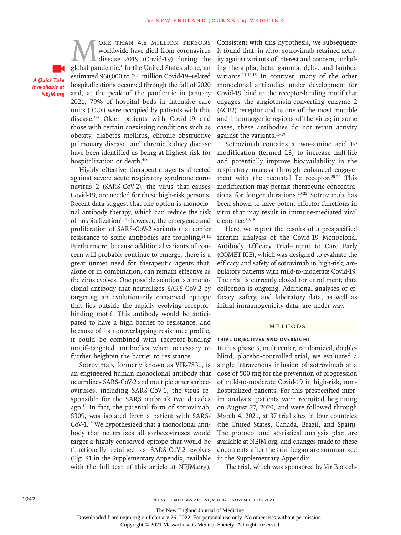*A Quick Take is available at NEJM.org*

**MORE THAN 4.8 MILLION PERSONS**<br>worldwide have died from coronavirus<br>global pandemic.<sup>1</sup> In the United States alone, an worldwide have died from coronavirus disease 2019 (Covid-19) during the global pandemic.1 In the United States alone, an estimated 960,000 to 2.4 million Covid-19–related hospitalizations occurred through the fall of 2020 and, at the peak of the pandemic in January 2021, 79% of hospital beds in intensive care units (ICUs) were occupied by patients with this disease.<sup>1-3</sup> Older patients with Covid-19 and those with certain coexisting conditions such as obesity, diabetes mellitus, chronic obstructive pulmonary disease, and chronic kidney disease have been identified as being at highest risk for hospitalization or death.<sup>4-8</sup>

Highly effective therapeutic agents directed against severe acute respiratory syndrome coronavirus 2 (SARS-CoV-2), the virus that causes Covid-19, are needed for these high-risk persons. Recent data suggest that one option is monoclonal antibody therapy, which can reduce the risk of hospitalization<sup>9,10</sup>; however, the emergence and proliferation of SARS-CoV-2 variants that confer resistance to some antibodies are troubling. $11,12$ Furthermore, because additional variants of concern will probably continue to emerge, there is a great unmet need for therapeutic agents that, alone or in combination, can remain effective as the virus evolves. One possible solution is a monoclonal antibody that neutralizes SARS-CoV-2 by targeting an evolutionarily conserved epitope that lies outside the rapidly evolving receptorbinding motif. This antibody would be anticipated to have a high barrier to resistance, and because of its nonoverlapping resistance profile, it could be combined with receptor-binding motif–targeted antibodies when necessary to further heighten the barrier to resistance.

Sotrovimab, formerly known as VIR-7831, is an engineered human monoclonal antibody that neutralizes SARS-CoV-2 and multiple other sarbecoviruses, including SARS-CoV-1, the virus responsible for the SARS outbreak two decades ago.13 In fact, the parental form of sotrovimab, S309, was isolated from a patient with SARS-CoV-1.13 We hypothesized that a monoclonal antibody that neutralizes all sarbecoviruses would target a highly conserved epitope that would be functionally retained as SARS-CoV-2 evolves (Fig. S1 in the Supplementary Appendix, available with the full text of this article at NEJM.org).

Consistent with this hypothesis, we subsequently found that, in vitro, sotrovimab retained activity against variants of interest and concern, including the alpha, beta, gamma, delta, and lambda variants.<sup>11,14,15</sup> In contrast, many of the other monoclonal antibodies under development for Covid-19 bind to the receptor-binding motif that engages the angiotensin-converting enzyme 2 (ACE2) receptor and is one of the most mutable and immunogenic regions of the virus; in some cases, these antibodies do not retain activity against the variants.16-19

Sotrovimab contains a two–amino acid Fc modification (termed LS) to increase half-life and potentially improve bioavailability in the respiratory mucosa through enhanced engagement with the neonatal Fc receptor.<sup>20-22</sup> This modification may permit therapeutic concentrations for longer durations.20-22 Sotrovimab has been shown to have potent effector functions in vitro that may result in immune-mediated viral clearance.13,14

Here, we report the results of a prespecified interim analysis of the Covid-19 Monoclonal Antibody Efficacy Trial–Intent to Care Early (COMET-ICE), which was designed to evaluate the efficacy and safety of sotrovimab in high-risk, ambulatory patients with mild-to-moderate Covid-19. The trial is currently closed for enrollment; data collection is ongoing. Additional analyses of efficacy, safety, and laboratory data, as well as initial immunogenicity data, are under way.

# Methods

#### **Trial Objectives and Oversight**

In this phase 3, multicenter, randomized, doubleblind, placebo-controlled trial, we evaluated a single intravenous infusion of sotrovimab at a dose of 500 mg for the prevention of progression of mild-to-moderate Covid-19 in high-risk, nonhospitalized patients. For this prespecified interim analysis, patients were recruited beginning on August 27, 2020, and were followed through March 4, 2021, at 37 trial sites in four countries (the United States, Canada, Brazil, and Spain). The protocol and statistical analysis plan are available at NEJM.org, and changes made to these documents after the trial began are summarized in the Supplementary Appendix.

The trial, which was sponsored by Vir Biotech-

Downloaded from nejm.org on February 26, 2022. For personal use only. No other uses without permission.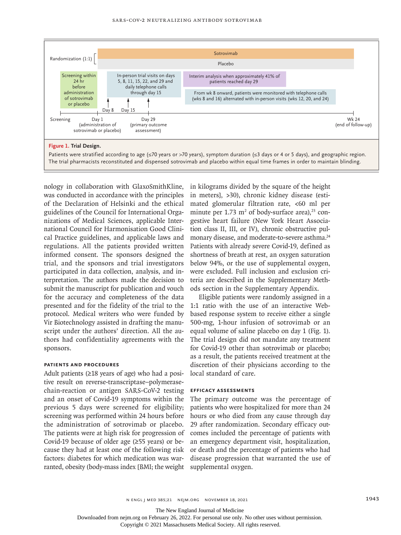

nology in collaboration with GlaxoSmithKline, was conducted in accordance with the principles of the Declaration of Helsinki and the ethical guidelines of the Council for International Organizations of Medical Sciences, applicable International Council for Harmonisation Good Clinical Practice guidelines, and applicable laws and regulations. All the patients provided written informed consent. The sponsors designed the trial, and the sponsors and trial investigators participated in data collection, analysis, and interpretation. The authors made the decision to submit the manuscript for publication and vouch for the accuracy and completeness of the data presented and for the fidelity of the trial to the protocol. Medical writers who were funded by Vir Biotechnology assisted in drafting the manuscript under the authors' direction. All the authors had confidentiality agreements with the sponsors.

#### **Patients and Procedures**

Adult patients  $(≥18$  years of age) who had a positive result on reverse-transcriptase–polymerasechain-reaction or antigen SARS-CoV-2 testing and an onset of Covid-19 symptoms within the previous 5 days were screened for eligibility; screening was performed within 24 hours before the administration of sotrovimab or placebo. The patients were at high risk for progression of Covid-19 because of older age (≥55 years) or because they had at least one of the following risk factors: diabetes for which medication was warranted, obesity (body-mass index [BMI; the weight

in kilograms divided by the square of the height in meters], >30), chronic kidney disease (estimated glomerular filtration rate, <60 ml per minute per  $1.73 \text{ m}^2$  of body-surface area),<sup>23</sup> congestive heart failure (New York Heart Association class II, III, or IV), chronic obstructive pulmonary disease, and moderate-to-severe asthma.24 Patients with already severe Covid-19, defined as shortness of breath at rest, an oxygen saturation below 94%, or the use of supplemental oxygen, were excluded. Full inclusion and exclusion criteria are described in the Supplementary Methods section in the Supplementary Appendix.

Eligible patients were randomly assigned in a 1:1 ratio with the use of an interactive Webbased response system to receive either a single 500-mg, 1-hour infusion of sotrovimab or an equal volume of saline placebo on day 1 (Fig. 1). The trial design did not mandate any treatment for Covid-19 other than sotrovimab or placebo; as a result, the patients received treatment at the discretion of their physicians according to the local standard of care.

#### **Efficacy Assessments**

The primary outcome was the percentage of patients who were hospitalized for more than 24 hours or who died from any cause through day 29 after randomization. Secondary efficacy outcomes included the percentage of patients with an emergency department visit, hospitalization, or death and the percentage of patients who had disease progression that warranted the use of supplemental oxygen.

The New England Journal of Medicine

Downloaded from nejm.org on February 26, 2022. For personal use only. No other uses without permission.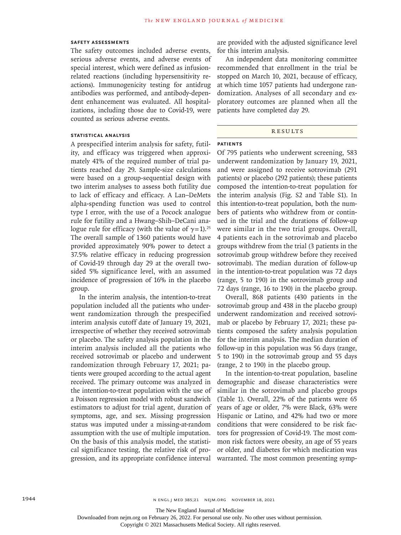# **Safety Assessments**

The safety outcomes included adverse events, serious adverse events, and adverse events of special interest, which were defined as infusionrelated reactions (including hypersensitivity reactions). Immunogenicity testing for antidrug antibodies was performed, and antibody-dependent enhancement was evaluated. All hospitalizations, including those due to Covid-19, were counted as serious adverse events.

## **Statistical Analysis**

A prespecified interim analysis for safety, futility, and efficacy was triggered when approximately 41% of the required number of trial patients reached day 29. Sample-size calculations were based on a group-sequential design with two interim analyses to assess both futility due to lack of efficacy and efficacy. A Lan–DeMets alpha-spending function was used to control type I error, with the use of a Pocock analogue rule for futility and a Hwang–Shih–DeCani analogue rule for efficacy (with the value of  $\gamma$ =1).<sup>25</sup> The overall sample of 1360 patients would have provided approximately 90% power to detect a 37.5% relative efficacy in reducing progression of Covid-19 through day 29 at the overall twosided 5% significance level, with an assumed incidence of progression of 16% in the placebo group.

In the interim analysis, the intention-to-treat population included all the patients who underwent randomization through the prespecified interim analysis cutoff date of January 19, 2021, irrespective of whether they received sotrovimab or placebo. The safety analysis population in the interim analysis included all the patients who received sotrovimab or placebo and underwent randomization through February 17, 2021; patients were grouped according to the actual agent received. The primary outcome was analyzed in the intention-to-treat population with the use of a Poisson regression model with robust sandwich estimators to adjust for trial agent, duration of symptoms, age, and sex. Missing progression status was imputed under a missing-at-random assumption with the use of multiple imputation. On the basis of this analysis model, the statistical significance testing, the relative risk of progression, and its appropriate confidence interval are provided with the adjusted significance level for this interim analysis.

An independent data monitoring committee recommended that enrollment in the trial be stopped on March 10, 2021, because of efficacy, at which time 1057 patients had undergone randomization. Analyses of all secondary and exploratory outcomes are planned when all the patients have completed day 29.

# **RESULTS**

# **Patients**

Of 795 patients who underwent screening, 583 underwent randomization by January 19, 2021, and were assigned to receive sotrovimab (291 patients) or placebo (292 patients); these patients composed the intention-to-treat population for the interim analysis (Fig. S2 and Table S1). In this intention-to-treat population, both the numbers of patients who withdrew from or continued in the trial and the durations of follow-up were similar in the two trial groups. Overall, 4 patients each in the sotrovimab and placebo groups withdrew from the trial (3 patients in the sotrovimab group withdrew before they received sotrovimab). The median duration of follow-up in the intention-to-treat population was 72 days (range, 5 to 190) in the sotrovimab group and 72 days (range, 16 to 190) in the placebo group.

Overall, 868 patients (430 patients in the sotrovimab group and 438 in the placebo group) underwent randomization and received sotrovimab or placebo by February 17, 2021; these patients composed the safety analysis population for the interim analysis. The median duration of follow-up in this population was 56 days (range, 5 to 190) in the sotrovimab group and 55 days (range, 2 to 190) in the placebo group.

In the intention-to-treat population, baseline demographic and disease characteristics were similar in the sotrovimab and placebo groups (Table 1). Overall, 22% of the patients were 65 years of age or older, 7% were Black, 63% were Hispanic or Latino, and 42% had two or more conditions that were considered to be risk factors for progression of Covid-19. The most common risk factors were obesity, an age of 55 years or older, and diabetes for which medication was warranted. The most common presenting symp-

The New England Journal of Medicine

Downloaded from nejm.org on February 26, 2022. For personal use only. No other uses without permission.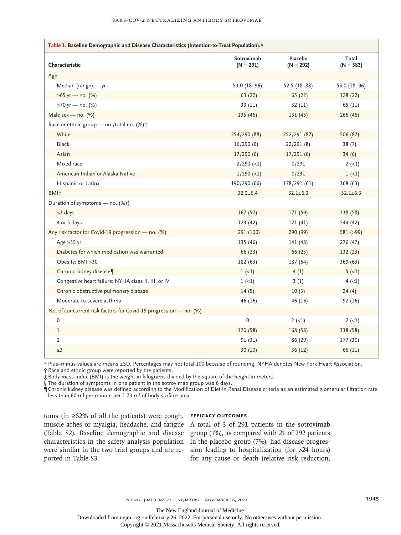| Table 1. Baseline Demographic and Disease Characteristics (Intention-to-Treat Population).* |                           |                        |                      |  |  |  |
|---------------------------------------------------------------------------------------------|---------------------------|------------------------|----------------------|--|--|--|
| Characteristic                                                                              | Sotrovimab<br>$(N = 291)$ | Placebo<br>$(N = 292)$ | Total<br>$(N = 583)$ |  |  |  |
| Age                                                                                         |                           |                        |                      |  |  |  |
| Median (range) - yr                                                                         | 53.0 $(18-96)$            | 52.5 $(18-88)$         | 53.0 $(18-96)$       |  |  |  |
| ≥65 yr — no. (%)                                                                            | 63 (22)                   | 65 (22)                | 128(22)              |  |  |  |
| >70 yr - no. (%)                                                                            | 33(11)                    | 32(11)                 | 65 (11)              |  |  |  |
| Male sex - no. $(%)$                                                                        | 135(46)                   | 131(45)                | 266 (46)             |  |  |  |
| Race or ethnic group - no./total no. (%) <sup>+</sup>                                       |                           |                        |                      |  |  |  |
| White                                                                                       | 254/290 (88)              | 252/291 (87)           | 506 (87)             |  |  |  |
| <b>Black</b>                                                                                | 16/290(6)                 | 22/291(8)              | 38(7)                |  |  |  |
| Asian                                                                                       | 17/290(6)                 | 17/291(6)              | 34(6)                |  |  |  |
| Mixed race                                                                                  | $2/290$ (<1)              | 0/291                  | $2 (-1)$             |  |  |  |
| American Indian or Alaska Native                                                            | $1/290$ (<1)              | 0/291                  | $1 (-1)$             |  |  |  |
| Hispanic or Latinx                                                                          | 190/290 (66)              | 178/291 (61)           | 368 (63)             |  |  |  |
| <b>BMI</b> <sup>*</sup>                                                                     | $32.0 \pm 6.4$            | $32.1 \pm 6.3$         | $32.1 \pm 6.3$       |  |  |  |
| Duration of symptoms - no. (%)                                                              |                           |                        |                      |  |  |  |
| $\leq$ 3 days                                                                               | 167(57)                   | 171 (59)               | 338 (58)             |  |  |  |
| 4 or 5 days                                                                                 | 123(42)                   | 121(41)                | 244 (42)             |  |  |  |
| Any risk factor for Covid-19 progression - no. (%)                                          | 291 (100)                 | 290 (99)               | 581 (>99)            |  |  |  |
| Age $\geq$ 55 yr                                                                            | 135 (46)                  | 141 (48)               | 276 (47)             |  |  |  |
| Diabetes for which medication was warranted                                                 | 66 (23)                   | 66 (23)                | 132(23)              |  |  |  |
| Obesity: BMI >30                                                                            | 182 (63)                  | 187 (64)               | 369 (63)             |  |  |  |
| Chronic kidney disease¶                                                                     | $1 (-1)$                  | 4(1)                   | $5 (-1)$             |  |  |  |
| Congestive heart failure: NYHA class II, III, or IV                                         | $1(-1)$                   | 3(1)                   | $4 (-1)$             |  |  |  |
| Chronic obstructive pulmonary disease                                                       | 14(5)                     | 10(3)                  | 24(4)                |  |  |  |
| Moderate-to-severe asthma                                                                   | 46 (16)                   | 46 (16)                | 92 (16)              |  |  |  |
| No. of concurrent risk factors for Covid-19 progression - no. (%)                           |                           |                        |                      |  |  |  |
| 0                                                                                           | 0                         | $2(-1)$                | $2(-1)$              |  |  |  |
| 1                                                                                           | 170 (58)                  | 168 (58)               | 338 (58)             |  |  |  |
| 2                                                                                           | 91 (31)                   | 86 (29)                | 177 (30)             |  |  |  |
| $\geq$ 3                                                                                    | 30(10)                    | 36(12)                 | 66 (11)              |  |  |  |

\* Plus–minus values are means ±SD. Percentages may not total 100 because of rounding. NYHA denotes New York Heart Association.

† Race and ethnic group were reported by the patients.

‡ Body-mass index (BMI) is the weight in kilograms divided by the square of the height in meters.

§ The duration of symptoms in one patient in the sotrovimab group was 6 days.

¶ Chronic kidney disease was defined according to the Modification of Diet in Renal Disease criteria as an estimated glomerular filtration rate less than 60 ml per minute per  $1.73$  m<sup>2</sup> of body-surface area.

toms (in ≥62% of all the patients) were cough, muscle aches or myalgia, headache, and fatigue (Table S2). Baseline demographic and disease characteristics in the safety analysis population were similar in the two trial groups and are reported in Table S3.

#### **Efficacy Outcomes**

A total of 3 of 291 patients in the sotrovimab group (1%), as compared with 21 of 292 patients in the placebo group (7%), had disease progression leading to hospitalization (for >24 hours) for any cause or death (relative risk reduction,

The New England Journal of Medicine

Downloaded from nejm.org on February 26, 2022. For personal use only. No other uses without permission.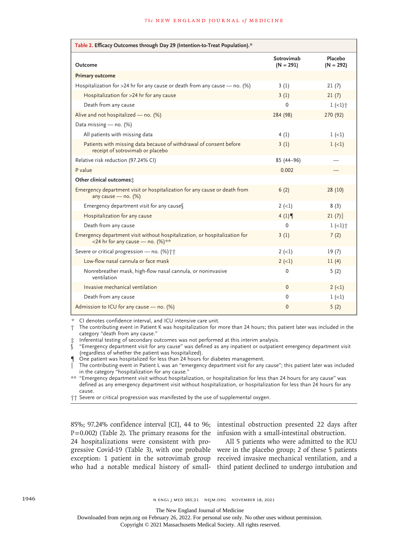| Table 2. Efficacy Outcomes through Day 29 (Intention-to-Treat Population).*                                    |                           |                        |  |  |  |  |
|----------------------------------------------------------------------------------------------------------------|---------------------------|------------------------|--|--|--|--|
| Outcome                                                                                                        | Sotrovimab<br>$(N = 291)$ | Placebo<br>$(N = 292)$ |  |  |  |  |
| <b>Primary outcome</b>                                                                                         |                           |                        |  |  |  |  |
| Hospitalization for >24 hr for any cause or death from any cause $-$ no. (%)                                   | 3(1)                      | 21(7)                  |  |  |  |  |
| Hospitalization for >24 hr for any cause                                                                       | 3(1)                      | 21(7)                  |  |  |  |  |
| Death from any cause                                                                                           | $\Omega$                  | $1 (-1)^+$             |  |  |  |  |
| Alive and not hospitalized - no. (%)                                                                           | 284 (98)                  | 270 (92)               |  |  |  |  |
| Data missing - no. (%)                                                                                         |                           |                        |  |  |  |  |
| All patients with missing data                                                                                 | 4(1)                      | $1 (-1)$               |  |  |  |  |
| Patients with missing data because of withdrawal of consent before<br>receipt of sotrovimab or placebo         | 3(1)                      | $1 (-1)$               |  |  |  |  |
| Relative risk reduction (97.24% CI)                                                                            | 85 (44-96)                |                        |  |  |  |  |
| P value                                                                                                        | 0.002                     |                        |  |  |  |  |
| Other clinical outcomes:                                                                                       |                           |                        |  |  |  |  |
| Emergency department visit or hospitalization for any cause or death from<br>any cause - no. $(%)$             | 6(2)                      | 28(10)                 |  |  |  |  |
| Emergency department visit for any causes                                                                      | $2 (-1)$                  | 8(3)                   |  |  |  |  |
| Hospitalization for any cause                                                                                  | 4(1)                      | 21(7)                  |  |  |  |  |
| Death from any cause                                                                                           | $\mathbf{0}$              | $1 (-1)^+$             |  |  |  |  |
| Emergency department visit without hospitalization, or hospitalization for<br><24 hr for any cause - no. (%)** | 3(1)                      | 7(2)                   |  |  |  |  |
| Severe or critical progression - no. (%) ++                                                                    | $2 (-1)$                  | 19(7)                  |  |  |  |  |
| Low-flow nasal cannula or face mask                                                                            | $2 (-1)$                  | 11(4)                  |  |  |  |  |
| Nonrebreather mask, high-flow nasal cannula, or noninvasive<br>ventilation                                     | $\Omega$                  | 5(2)                   |  |  |  |  |
| Invasive mechanical ventilation                                                                                | $\Omega$                  | $2 (-1)$               |  |  |  |  |
| Death from any cause                                                                                           | 0                         | $1 (-1)$               |  |  |  |  |
| Admission to ICU for any cause - no. (%)                                                                       | $\mathbf{0}$              | 5(2)                   |  |  |  |  |

\* CI denotes confidence interval, and ICU intensive care unit.

† The contributing event in Patient K was hospitalization for more than 24 hours; this patient later was included in the category "death from any cause."

‡ Inferential testing of secondary outcomes was not performed at this interim analysis.

§ "Emergency department visit for any cause" was defined as any inpatient or outpatient emergency department visit (regardless of whether the patient was hospitalized).

¶ One patient was hospitalized for less than 24 hours for diabetes management.

‖ The contributing event in Patient L was an "emergency department visit for any cause"; this patient later was included in the category "hospitalization for any cause."

\*\* "Emergency department visit without hospitalization, or hospitalization for less than 24 hours for any cause" was defined as any emergency department visit without hospitalization, or hospitalization for less than 24 hours for any cause.

†† Severe or critical progression was manifested by the use of supplemental oxygen.

P=0.002) (Table 2). The primary reasons for the infusion with a small-intestinal obstruction. 24 hospitalizations were consistent with pro-

85%; 97.24% confidence interval [CI], 44 to 96; intestinal obstruction presented 22 days after

gressive Covid-19 (Table 3), with one probable were in the placebo group; 2 of these 5 patients exception: 1 patient in the sotrovimab group received invasive mechanical ventilation, and a who had a notable medical history of small-third patient declined to undergo intubation and All 5 patients who were admitted to the ICU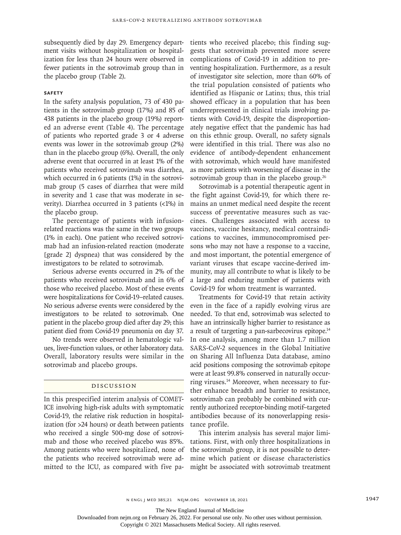subsequently died by day 29. Emergency department visits without hospitalization or hospitalization for less than 24 hours were observed in fewer patients in the sotrovimab group than in the placebo group (Table 2).

# **Safety**

In the safety analysis population, 73 of 430 patients in the sotrovimab group (17%) and 85 of 438 patients in the placebo group (19%) reported an adverse event (Table 4). The percentage of patients who reported grade 3 or 4 adverse events was lower in the sotrovimab group (2%) than in the placebo group (6%). Overall, the only adverse event that occurred in at least 1% of the patients who received sotrovimab was diarrhea, which occurred in 6 patients (1%) in the sotrovimab group (5 cases of diarrhea that were mild in severity and 1 case that was moderate in severity). Diarrhea occurred in 3 patients (<1%) in the placebo group.

The percentage of patients with infusionrelated reactions was the same in the two groups (1% in each). One patient who received sotrovimab had an infusion-related reaction (moderate [grade 2] dyspnea) that was considered by the investigators to be related to sotrovimab.

Serious adverse events occurred in 2% of the patients who received sotrovimab and in 6% of those who received placebo. Most of these events were hospitalizations for Covid-19–related causes. No serious adverse events were considered by the investigators to be related to sotrovimab. One patient in the placebo group died after day 29; this patient died from Covid-19 pneumonia on day 37.

No trends were observed in hematologic values, liver-function values, or other laboratory data. Overall, laboratory results were similar in the sotrovimab and placebo groups.

## Discussion

In this prespecified interim analysis of COMET-ICE involving high-risk adults with symptomatic Covid-19, the relative risk reduction in hospitalization (for >24 hours) or death between patients who received a single 500-mg dose of sotrovimab and those who received placebo was 85%. Among patients who were hospitalized, none of the patients who received sotrovimab were admitted to the ICU, as compared with five patients who received placebo; this finding suggests that sotrovimab prevented more severe complications of Covid-19 in addition to preventing hospitalization. Furthermore, as a result of investigator site selection, more than 60% of the trial population consisted of patients who identified as Hispanic or Latinx; thus, this trial showed efficacy in a population that has been underrepresented in clinical trials involving patients with Covid-19, despite the disproportionately negative effect that the pandemic has had on this ethnic group. Overall, no safety signals were identified in this trial. There was also no evidence of antibody-dependent enhancement with sotrovimab, which would have manifested as more patients with worsening of disease in the sotrovimab group than in the placebo group. $26$ 

Sotrovimab is a potential therapeutic agent in the fight against Covid-19, for which there remains an unmet medical need despite the recent success of preventative measures such as vaccines. Challenges associated with access to vaccines, vaccine hesitancy, medical contraindications to vaccines, immunocompromised persons who may not have a response to a vaccine, and most important, the potential emergence of variant viruses that escape vaccine-derived immunity, may all contribute to what is likely to be a large and enduring number of patients with Covid-19 for whom treatment is warranted.

Treatments for Covid-19 that retain activity even in the face of a rapidly evolving virus are needed. To that end, sotrovimab was selected to have an intrinsically higher barrier to resistance as a result of targeting a pan-sarbecovirus epitope.<sup>14</sup> In one analysis, among more than 1.7 million SARS-CoV-2 sequences in the Global Initiative on Sharing All Influenza Data database, amino acid positions composing the sotrovimab epitope were at least 99.8% conserved in naturally occurring viruses.14 Moreover, when necessary to further enhance breadth and barrier to resistance, sotrovimab can probably be combined with currently authorized receptor-binding motif–targeted antibodies because of its nonoverlapping resistance profile.

This interim analysis has several major limitations. First, with only three hospitalizations in the sotrovimab group, it is not possible to determine which patient or disease characteristics might be associated with sotrovimab treatment

The New England Journal of Medicine

Downloaded from nejm.org on February 26, 2022. For personal use only. No other uses without permission.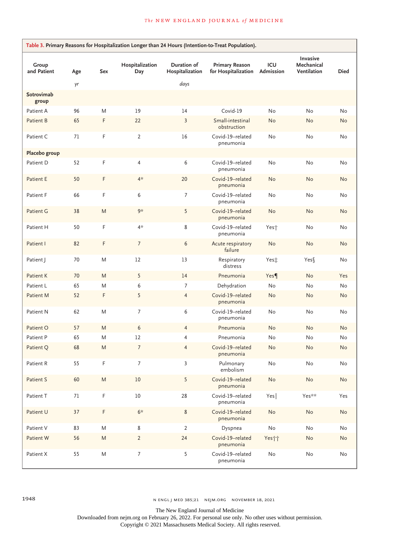| Group<br>and Patient | Age | Sex       | Hospitalization<br>Day | Duration of<br>Hospitalization | <b>Primary Reason</b><br>for Hospitalization | ICU<br>Admission             | Invasive<br>Mechanical<br>Ventilation | <b>Died</b>                  |
|----------------------|-----|-----------|------------------------|--------------------------------|----------------------------------------------|------------------------------|---------------------------------------|------------------------------|
|                      | γr  |           |                        | days                           |                                              |                              |                                       |                              |
| Sotrovimab<br>group  |     |           |                        |                                |                                              |                              |                                       |                              |
| Patient A            | 96  | M         | 19                     | 14                             | Covid-19                                     | No                           | No                                    | No                           |
| Patient B            | 65  | F         | 22                     | $\overline{\mathbf{3}}$        | Small-intestinal<br>obstruction              | No                           | No                                    | No                           |
| Patient C            | 71  | F         | $\overline{2}$         | 16                             | Covid-19-related<br>pneumonia                | No                           | No                                    | No                           |
| Placebo group        |     |           |                        |                                |                                              |                              |                                       |                              |
| Patient D            | 52  | F         | 4                      | 6                              | Covid-19-related<br>pneumonia                | No                           | No                                    | No                           |
| Patient E            | 50  | F         | $4*$                   | 20                             | Covid-19-related<br>pneumonia                | No                           | No                                    | No                           |
| Patient F            | 66  | F         | 6                      | 7                              | Covid-19-related<br>pneumonia                | No                           | No                                    | No                           |
| Patient G            | 38  | M         | 9*                     | 5                              | Covid-19-related<br>pneumonia                | No                           | No                                    | No                           |
| Patient H            | 50  | F         | 4*                     | 8                              | Covid-19-related<br>pneumonia                | Yes <sup>+</sup>             | No                                    | No                           |
| Patient I            | 82  | F         | $\overline{7}$         | 6                              | Acute respiratory<br>failure                 | No                           | No                                    | No                           |
| Patient J            | 70  | M         | 12                     | 13                             | Respiratory<br>distress                      | Yes:                         | Yes∬                                  | No                           |
| Patient K            | 70  | M         | 5                      | 14                             | Pneumonia                                    | Yes                          | No                                    | Yes                          |
| Patient L            | 65  | M         | 6                      | 7                              | Dehydration                                  | No                           | No                                    | No                           |
| Patient M            | 52  | F         | 5                      | $\overline{4}$                 | Covid-19-related<br>pneumonia                | No                           | No                                    | No                           |
| Patient N            | 62  | M         | 7                      | 6                              | Covid-19-related<br>pneumonia                | No                           | No                                    | No                           |
| Patient O            | 57  | M         | 6                      | $\overline{4}$                 | Pneumonia                                    | <b>No</b>                    | <b>No</b>                             | <b>No</b>                    |
| Patient P            | 65  | M         | 12                     | 4                              | Pneumonia                                    | No                           | No                                    | No                           |
| Patient Q            | 68  | M         | 7                      | $\overline{4}$                 | Covid-19-related<br>pneumonia                | No                           | No                                    | No                           |
| Patient R            | 55  | F         | $\overline{7}$         | $\mathbf{3}$                   | Pulmonary<br>embolism                        | $\operatorname{\mathsf{No}}$ | No                                    | No                           |
| Patient S            | 60  | ${\sf M}$ | $10\,$                 | 5                              | Covid-19-related<br>pneumonia                | $\operatorname{\mathsf{No}}$ | No                                    | $\operatorname{\mathsf{No}}$ |
| Patient T            | 71  | F         | $10\,$                 | 28                             | Covid-19-related<br>pneumonia                | Yes                          | Yes**                                 | Yes                          |
| Patient U            | 37  | F         | $6*$                   | 8                              | Covid-19-related<br>pneumonia                | $\operatorname{\mathsf{No}}$ | No                                    | No                           |
| Patient V            | 83  | M         | 8                      | 2                              | Dyspnea                                      | $\mathsf{No}$                | No                                    | No                           |
| Patient W            | 56  | M         | $\overline{2}$         | 24                             | Covid-19-related<br>pneumonia                | Yes††                        | No                                    | No                           |
| Patient X            | 55  | M         | 7                      | 5                              | Covid-19-related<br>pneumonia                | $\mathsf{No}$                | No                                    | No                           |

1948 n engl j med 385;21 nejm.org November 18, 2021

The New England Journal of Medicine

Downloaded from nejm.org on February 26, 2022. For personal use only. No other uses without permission.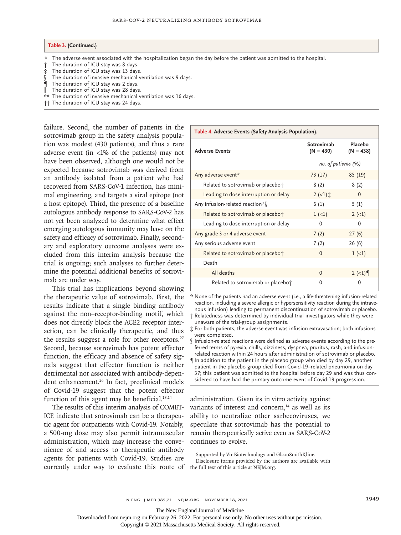#### **Table 3. (Continued.)**

- \* The adverse event associated with the hospitalization began the day before the patient was admitted to the hospital.
- The duration of ICU stay was 8 days.
- The duration of ICU stay was 13 days.
- The duration of invasive mechanical ventilation was 9 days.
- ¶ The duration of ICU stay was 2 days.
- The duration of ICU stay was 28 days.
- The duration of invasive mechanical ventilation was 16 days.
- †† The duration of ICU stay was 24 days.

failure. Second, the number of patients in the sotrovimab group in the safety analysis population was modest (430 patients), and thus a rare adverse event (in <1% of the patients) may not have been observed, although one would not be expected because sotrovimab was derived from an antibody isolated from a patient who had recovered from SARS-CoV-1 infection, has minimal engineering, and targets a viral epitope (not a host epitope). Third, the presence of a baseline autologous antibody response to SARS-CoV-2 has not yet been analyzed to determine what effect emerging autologous immunity may have on the safety and efficacy of sotrovimab. Finally, secondary and exploratory outcome analyses were excluded from this interim analysis because the trial is ongoing; such analyses to further determine the potential additional benefits of sotrovimab are under way.

This trial has implications beyond showing the therapeutic value of sotrovimab. First, the results indicate that a single binding antibody against the non–receptor-binding motif, which does not directly block the ACE2 receptor interaction, can be clinically therapeutic, and thus the results suggest a role for other receptors. $27$ Second, because sotrovimab has potent effector function, the efficacy and absence of safety signals suggest that effector function is neither detrimental nor associated with antibody-dependent enhancement.<sup>26</sup> In fact, preclinical models of Covid-19 suggest that the potent effector function of this agent may be beneficial. $13,14$ 

The results of this interim analysis of COMET-ICE indicate that sotrovimab can be a therapeutic agent for outpatients with Covid-19. Notably, a 500-mg dose may also permit intramuscular administration, which may increase the convenience of and access to therapeutic antibody agents for patients with Covid-19. Studies are currently under way to evaluate this route of the full text of this article at NEJM.org.

| Table 4. Adverse Events (Safety Analysis Population). |                           |                        |  |  |  |
|-------------------------------------------------------|---------------------------|------------------------|--|--|--|
| <b>Adverse Events</b>                                 | Sotrovimab<br>$(N = 430)$ | Placebo<br>$(N = 438)$ |  |  |  |
|                                                       | no. of patients $(\%)$    |                        |  |  |  |
| Any adverse event*                                    | 73 (17)                   | 85 (19)                |  |  |  |
| Related to sotrovimab or placebo†                     | 8(2)                      | 8(2)                   |  |  |  |
| Leading to dose interruption or delay                 | $2 (-1)$ $\ddagger$       | $\Omega$               |  |  |  |
| Any infusion-related reaction*\                       | 6(1)                      | 5(1)                   |  |  |  |
| Related to sotrovimab or placebo†                     | $1 (-1)$                  | $2 (-1)$               |  |  |  |
| Leading to dose interruption or delay                 | 0                         | 0                      |  |  |  |
| Any grade 3 or 4 adverse event                        | 7(2)                      | 27(6)                  |  |  |  |
| Any serious adverse event                             | 7(2)                      | 26 (6)                 |  |  |  |
| Related to sotrovimab or placebo†                     | $\Omega$                  | $1 (-1)$               |  |  |  |
| Death                                                 |                           |                        |  |  |  |
| All deaths                                            | $\mathbf 0$               | $2 (-1)$               |  |  |  |
| Related to sotrovimab or placebo†                     | 0                         | 0                      |  |  |  |

\* None of the patients had an adverse event (i.e., a life-threatening infusion-related reaction, including a severe allergic or hypersensitivity reaction during the intravenous infusion) leading to permanent discontinuation of sotrovimab or placebo. † Relatedness was determined by individual trial investigators while they were unaware of the trial-group assignments.

‡ For both patients, the adverse event was infusion extravasation; both infusions were completed.

§ Infusion-related reactions were defined as adverse events according to the preferred terms of pyrexia, chills, dizziness, dyspnea, pruritus, rash, and infusionrelated reaction within 24 hours after administration of sotrovimab or placebo.

¶ In addition to the patient in the placebo group who died by day 29, another patient in the placebo group died from Covid-19–related pneumonia on day 37; this patient was admitted to the hospital before day 29 and was thus considered to have had the primary-outcome event of Covid-19 progression.

administration. Given its in vitro activity against variants of interest and concern, $14$  as well as its ability to neutralize other sarbecoviruses, we speculate that sotrovimab has the potential to remain therapeutically active even as SARS-CoV-2 continues to evolve.

Supported by Vir Biotechnology and GlaxoSmithKline.

Disclosure forms provided by the authors are available with

n engl j med 385;21 nejm.org November 18, 2021 1949

The New England Journal of Medicine

Downloaded from nejm.org on February 26, 2022. For personal use only. No other uses without permission.